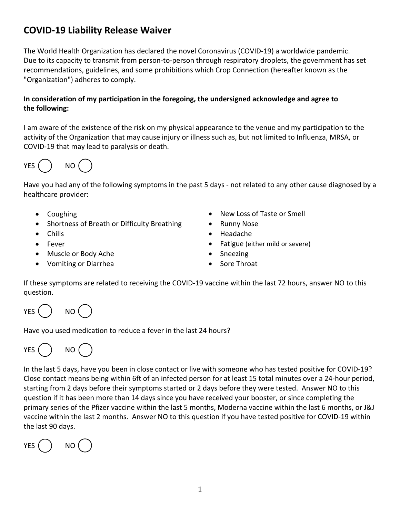## **COVID-19 Liability Release Waiver**

The World Health Organization has declared the novel Coronavirus (COVID-19) a worldwide pandemic. Due to its capacity to transmit from person-to-person through respiratory droplets, the government has set recommendations, guidelines, and some prohibitions which Crop Connection (hereafter known as the "Organization") adheres to comply.

## **In consideration of my participation in the foregoing, the undersigned acknowledge and agree to the following:**

I am aware of the existence of the risk on my physical appearance to the venue and my participation to the activity of the Organization that may cause injury or illness such as, but not limited to Influenza, MRSA, or COVID-19 that may lead to paralysis or death.



Have you had any of the following symptoms in the past 5 days - not related to any other cause diagnosed by a healthcare provider:

- Coughing
- Shortness of Breath or Difficulty Breathing
- Chills
- Fever
- Muscle or Body Ache
- Vomiting or Diarrhea
- New Loss of Taste or Smell
- Runny Nose
- Headache
- Fatigue (either mild or severe)
- Sneezing
- Sore Throat

If these symptoms are related to receiving the COVID-19 vaccine within the last 72 hours, answer NO to this question.

YES () NO

Have you used medication to reduce a fever in the last 24 hours?

YES () NO

In the last 5 days, have you been in close contact or live with someone who has tested positive for COVID-19? Close contact means being within 6ft of an infected person for at least 15 total minutes over a 24-hour period, starting from 2 days before their symptoms started or 2 days before they were tested. Answer NO to this question if it has been more than 14 days since you have received your booster, or since completing the primary series of the Pfizer vaccine within the last 5 months, Moderna vaccine within the last 6 months, or J&J vaccine within the last 2 months. Answer NO to this question if you have tested positive for COVID-19 within the last 90 days.

YES () NO